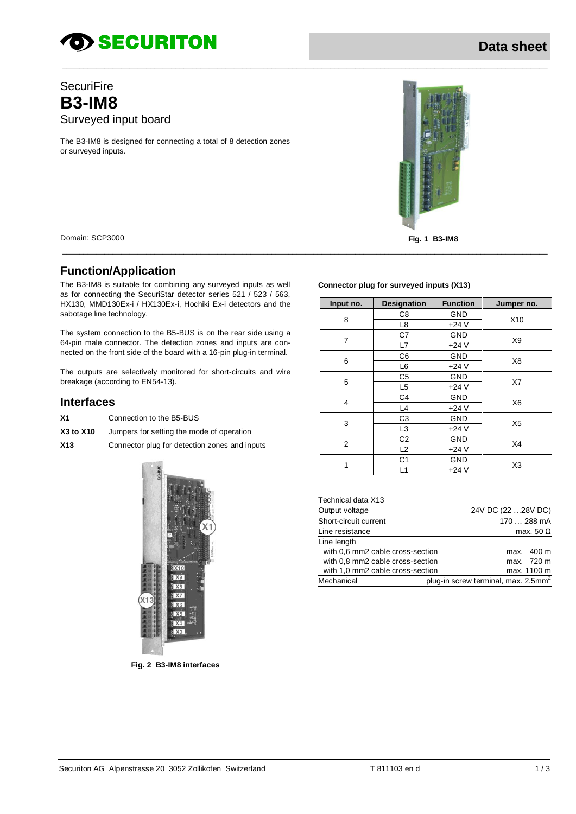# *SECURITON*

# **SecuriFire B3-IM8** Surveyed input board

The B3-IM8 is designed for connecting a total of 8 detection zones or surveyed inputs.



#### **Function/Application**

The B3-IM8 is suitable for combining any surveyed inputs as well as for connecting the SecuriStar detector series 521 / 523 / 563, HX130, MMD130Ex-i / HX130Ex-i, Hochiki Ex-i detectors and the sabotage line technology.

The system connection to the B5-BUS is on the rear side using a 64-pin male connector. The detection zones and inputs are connected on the front side of the board with a 16-pin plug-in terminal.

The outputs are selectively monitored for short-circuits and wire breakage (according to EN54-13).

#### **Interfaces**

- **X1** Connection to the B5-BUS
- **X3 to X10** Jumpers for setting the mode of operation
- **X13** Connector plug for detection zones and inputs



**Fig. 2 B3-IM8 interfaces**

#### **Connector plug for surveyed inputs (X13)**

\_\_\_\_\_\_\_\_\_\_\_\_\_\_\_\_\_\_\_\_\_\_\_\_\_\_\_\_\_\_\_\_\_\_\_\_\_\_\_\_\_\_\_\_\_\_\_\_\_\_\_\_\_\_\_\_\_\_\_\_\_\_\_\_\_\_\_\_\_\_\_\_\_\_\_\_\_\_\_\_\_\_\_\_\_\_\_\_\_\_\_\_\_\_\_\_\_\_\_\_\_\_\_\_\_\_\_\_\_\_\_\_\_\_\_\_

\_\_\_\_\_\_\_\_\_\_\_\_\_\_\_\_\_\_\_\_\_\_\_\_\_\_\_\_\_\_\_\_\_\_\_\_\_\_\_\_\_\_\_\_\_\_\_\_\_\_\_\_\_\_\_\_\_\_\_\_\_\_\_\_\_\_\_\_\_\_\_\_\_\_\_\_\_\_\_\_\_\_\_\_\_\_\_\_\_\_\_\_\_\_\_\_\_\_\_\_\_\_\_\_\_\_\_\_\_\_\_\_\_\_\_\_

| Input no. | <b>Designation</b> | <b>Function</b> | Jumper no.      |  |
|-----------|--------------------|-----------------|-----------------|--|
|           | C8                 | <b>GND</b>      |                 |  |
| 8         | L <sub>8</sub>     | $+24V$          | X <sub>10</sub> |  |
| 7         | C7                 | <b>GND</b>      | X <sub>9</sub>  |  |
|           | L7                 | $+24V$          |                 |  |
|           | C6                 | <b>GND</b>      | X8              |  |
| 6         | L <sub>6</sub>     | $+24V$          |                 |  |
| 5         | C <sub>5</sub>     | <b>GND</b>      |                 |  |
|           | L <sub>5</sub>     | $+24V$          | X7              |  |
| 4         | C <sub>4</sub>     | <b>GND</b>      | X <sub>6</sub>  |  |
|           | L4                 | $+24V$          |                 |  |
| 3         | C3                 | <b>GND</b>      | X <sub>5</sub>  |  |
|           | L <sub>3</sub>     | $+24V$          |                 |  |
| 2         | C <sub>2</sub>     | <b>GND</b>      | X4              |  |
|           | L2                 | $+24V$          |                 |  |
|           | C <sub>1</sub>     | <b>GND</b>      | X <sub>3</sub>  |  |
| 1         | L1                 | $+24V$          |                 |  |

#### Technical data X13

| Output voltage                   |                                                 | 24V DC (22 28V DC) |                  |
|----------------------------------|-------------------------------------------------|--------------------|------------------|
| Short-circuit current            |                                                 |                    | 170  288 mA      |
| Line resistance                  |                                                 |                    | max. 50 $\Omega$ |
| Line length                      |                                                 |                    |                  |
| with 0.6 mm2 cable cross-section |                                                 |                    | max. 400 m       |
| with 0.8 mm2 cable cross-section |                                                 |                    | max. 720 m       |
| with 1,0 mm2 cable cross-section |                                                 |                    | max. 1100 m      |
| Mechanical                       | plug-in screw terminal, max. 2.5mm <sup>2</sup> |                    |                  |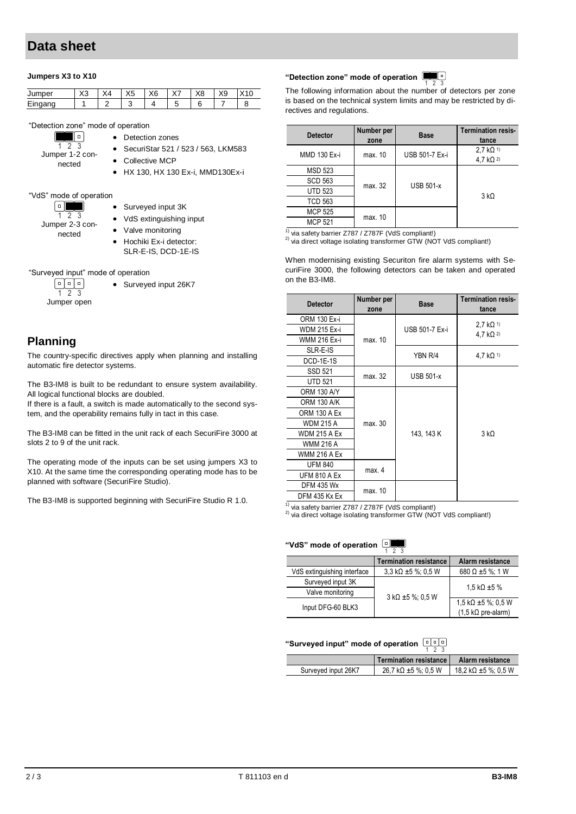# **Data sheet**

#### **Jumpers X3 to X10**

| Jumper         | $\sqrt{2}$<br>∼∿ | $\ddotsc$<br>л4 | $\sqrt{2}$<br>∽<br>$\sim$ | $\sqrt{2}$<br>∧b. | $\cdot$ $-$<br>୵ | $\vee$<br>ΛO | X9 |  |
|----------------|------------------|-----------------|---------------------------|-------------------|------------------|--------------|----|--|
| ⊏:-<br>Eingang |                  |                 |                           |                   | ັ                |              |    |  |

• Detection zones

"Detection zone" mode of operation

- T. 1 2 3 Jumper 1-2 connected
- Collective MCP
- HX 130, HX 130 Ex-i, MMD130Ex-i

SecuriStar 521 / 523 / 563, LKM583

#### "VdS" mode of operation

| o               |
|-----------------|
|                 |
| Jumper 2-3 con- |
| nected          |

- Surveyed input 3K
- VdS extinguishing input
- Valve monitoring
- Hochiki Ex-i detector: SLR-E-IS, DCD-1E-IS

"Surveyed input" mode of operation

• Surveyed input 26K7

同同 Jumper open

1 2 3

#### **Planning**

The country-specific directives apply when planning and installing automatic fire detector systems.

The B3-IM8 is built to be redundant to ensure system availability. All logical functional blocks are doubled.

If there is a fault, a switch is made automatically to the second system, and the operability remains fully in tact in this case.

The B3-IM8 can be fitted in the unit rack of each SecuriFire 3000 at slots 2 to 9 of the unit rack.

The operating mode of the inputs can be set using jumpers X3 to X10. At the same time the corresponding operating mode has to be planned with software (SecuriFire Studio).

The B3-IM8 is supported beginning with SecuriFire Studio R 1.0.

#### n d **"Detection zone" mode of operation**

The following information about the number of detectors per zone is based on the technical system limits and may be restricted by directives and regulations.

| <b>Detector</b> | Number per<br>zone | <b>Base</b>           | <b>Termination resis-</b><br>tance                         |
|-----------------|--------------------|-----------------------|------------------------------------------------------------|
| MMD 130 Ex-i    | max. 10            | <b>USB 501-7 Ex-i</b> | 2.7 $k\Omega$ <sup>1)</sup><br>4,7 $k\Omega$ <sup>2)</sup> |
| <b>MSD 523</b>  |                    |                       |                                                            |
| <b>SCD 563</b>  | max. 32            | <b>USB 501-x</b>      |                                                            |
| <b>UTD 523</b>  |                    |                       | $3 k\Omega$                                                |
| <b>TCD 563</b>  |                    |                       |                                                            |
| <b>MCP 525</b>  |                    |                       |                                                            |
| <b>MCP 521</b>  | max. 10            |                       |                                                            |

 $1)$  via safety barrier Z787 / Z787F (VdS compliant!)

<sup>2)</sup> via direct voltage isolating transformer GTW (NOT VdS compliant!)

When modernising existing Securiton fire alarm systems with SecuriFire 3000, the following detectors can be taken and operated on the B3-IM8.

| <b>Detector</b>     | Number per<br>zone | <b>Base</b>           | <b>Termination resis-</b><br>tance                          |
|---------------------|--------------------|-----------------------|-------------------------------------------------------------|
| ORM 130 Ex-i        |                    |                       |                                                             |
| <b>WDM 215 Ex-i</b> |                    | <b>USB 501-7 Ex-i</b> | 2,7 $k\Omega$ <sup>1)</sup><br>4.7 k $\Omega$ <sup>2)</sup> |
| WMM 216 Ex-i        | max. 10            |                       |                                                             |
| SLR-E-IS            |                    | YBN R/4               | 4.7 $k\Omega$ <sup>1)</sup>                                 |
| DCD-1E-1S           |                    |                       |                                                             |
| <b>SSD 521</b>      | max. 32            | <b>USB 501-x</b>      |                                                             |
| <b>UTD 521</b>      |                    |                       |                                                             |
| <b>ORM 130 A/Y</b>  |                    |                       |                                                             |
| <b>ORM 130 A/K</b>  |                    |                       |                                                             |
| <b>ORM 130 A Ex</b> |                    |                       |                                                             |
| <b>WDM 215 A</b>    | max. 30            |                       |                                                             |
| <b>WDM 215 A Ex</b> |                    | 143, 143 K            | $3 k\Omega$                                                 |
| <b>WMM 216 A</b>    |                    |                       |                                                             |
| <b>WMM 216 A Ex</b> |                    |                       |                                                             |
| <b>UFM 840</b>      |                    |                       |                                                             |
| <b>UFM 810 A Ex</b> | max. 4             |                       |                                                             |
| <b>DFM 435 Wx</b>   |                    |                       |                                                             |
| DFM 435 Kx Ex       | max. 10            |                       |                                                             |

 $1)$  via safety barrier Z787 / Z787F (VdS compliant!)

<sup>2)</sup> via direct voltage isolating transformer GTW (NOT VdS compliant!)

# **"VdS" mode of operation**  $\frac{1}{1}$

|                             | <b>Termination resistance</b>          | Alarm resistance                          |  |  |
|-----------------------------|----------------------------------------|-------------------------------------------|--|--|
| VdS extinguishing interface | $3.3 \text{ k}\Omega \pm 5 \%$ ; 0.5 W | 680 $\Omega$ ±5 %; 1 W                    |  |  |
| Surveyed input 3K           |                                        | 1.5 k $\Omega$ ±5 %                       |  |  |
| Valve monitoring            | 3 kΩ ±5 %; 0.5 W                       |                                           |  |  |
| Input DFG-60 BLK3           |                                        | 1,5 k $\Omega$ ±5 %; 0,5 W                |  |  |
|                             |                                        | $(1,5 \text{ k}\Omega \text{ pre-alarm})$ |  |  |

# **"Surveyed input" mode of operation** 1 2 3

|                     | Termination resistance                  | <b>Alarm resistance</b> |
|---------------------|-----------------------------------------|-------------------------|
| Surveyed input 26K7 | $26.7 \text{ k}\Omega \pm 5 \%$ : 0.5 W | 18.2 kΩ ±5 %; 0.5 W     |